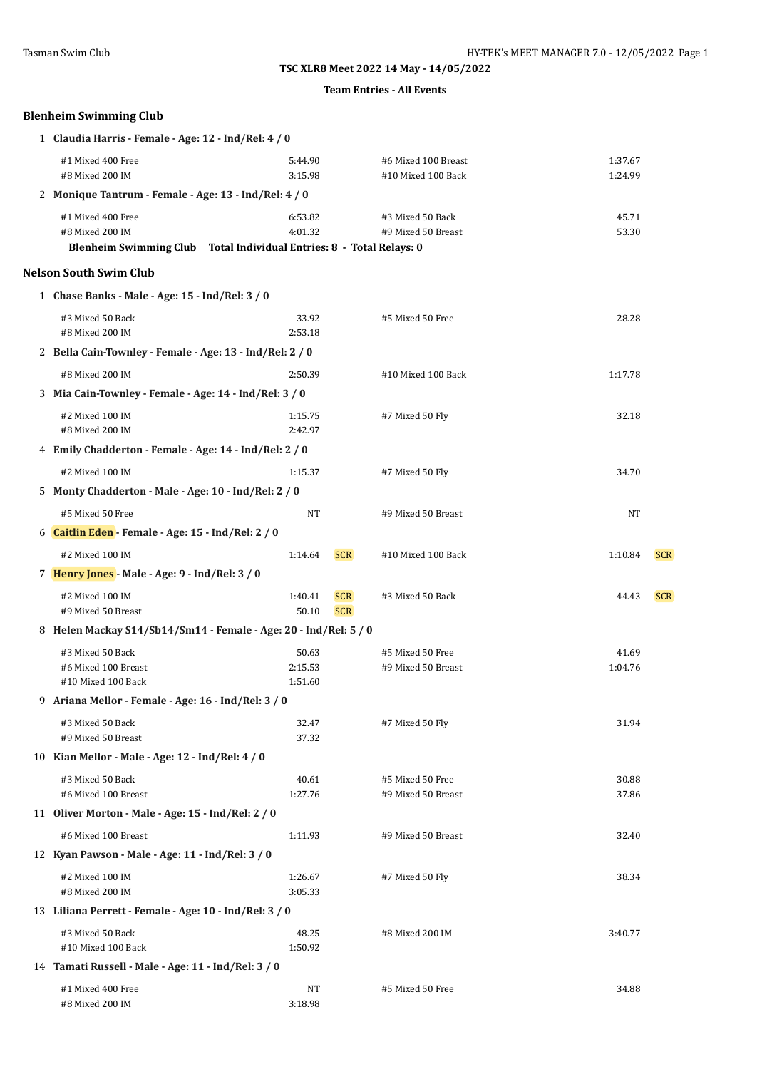|                                                                                                              |                             |                          | <b>Team Entries - All Events</b>          |                    |            |  |  |
|--------------------------------------------------------------------------------------------------------------|-----------------------------|--------------------------|-------------------------------------------|--------------------|------------|--|--|
| <b>Blenheim Swimming Club</b>                                                                                |                             |                          |                                           |                    |            |  |  |
| 1 Claudia Harris - Female - Age: 12 - Ind/Rel: 4 / 0                                                         |                             |                          |                                           |                    |            |  |  |
| #1 Mixed 400 Free<br>#8 Mixed 200 IM                                                                         | 5:44.90<br>3:15.98          |                          | #6 Mixed 100 Breast<br>#10 Mixed 100 Back | 1:37.67<br>1:24.99 |            |  |  |
| 2 Monique Tantrum - Female - Age: 13 - Ind/Rel: 4 / 0                                                        |                             |                          |                                           |                    |            |  |  |
| #1 Mixed 400 Free<br>#8 Mixed 200 IM<br>Blenheim Swimming Club Total Individual Entries: 8 - Total Relays: 0 | 6:53.82<br>4:01.32          |                          | #3 Mixed 50 Back<br>#9 Mixed 50 Breast    | 45.71<br>53.30     |            |  |  |
| <b>Nelson South Swim Club</b>                                                                                |                             |                          |                                           |                    |            |  |  |
| 1 Chase Banks - Male - Age: 15 - Ind/Rel: 3 / 0                                                              |                             |                          |                                           |                    |            |  |  |
| #3 Mixed 50 Back<br>#8 Mixed 200 IM                                                                          | 33.92<br>2:53.18            |                          | #5 Mixed 50 Free                          | 28.28              |            |  |  |
| 2 Bella Cain-Townley - Female - Age: 13 - Ind/Rel: 2 / 0                                                     |                             |                          |                                           |                    |            |  |  |
| #8 Mixed 200 IM                                                                                              | 2:50.39                     |                          | #10 Mixed 100 Back                        | 1:17.78            |            |  |  |
| 3 Mia Cain-Townley - Female - Age: 14 - Ind/Rel: 3 / 0                                                       |                             |                          |                                           |                    |            |  |  |
| #2 Mixed 100 IM<br>#8 Mixed 200 IM                                                                           | 1:15.75<br>2:42.97          |                          | #7 Mixed 50 Fly                           | 32.18              |            |  |  |
| 4 Emily Chadderton - Female - Age: 14 - Ind/Rel: 2 / 0                                                       |                             |                          |                                           |                    |            |  |  |
| #2 Mixed 100 IM                                                                                              | 1:15.37                     |                          | #7 Mixed 50 Fly                           | 34.70              |            |  |  |
| 5 Monty Chadderton - Male - Age: 10 - Ind/Rel: 2 / 0                                                         |                             |                          |                                           |                    |            |  |  |
| #5 Mixed 50 Free                                                                                             | NT                          |                          | #9 Mixed 50 Breast                        | NT                 |            |  |  |
| 6 <b>Caitlin Eden</b> - Female - Age: 15 - Ind/Rel: 2 / 0                                                    |                             |                          |                                           |                    |            |  |  |
| #2 Mixed 100 IM                                                                                              | 1:14.64                     | <b>SCR</b>               | #10 Mixed 100 Back                        | 1:10.84            | <b>SCR</b> |  |  |
| 7 Henry Jones - Male - Age: 9 - Ind/Rel: 3 / 0                                                               |                             |                          |                                           |                    |            |  |  |
| #2 Mixed 100 IM<br>#9 Mixed 50 Breast                                                                        | 1:40.41<br>50.10            | <b>SCR</b><br><b>SCR</b> | #3 Mixed 50 Back                          | 44.43              | <b>SCR</b> |  |  |
| 8 Helen Mackay S14/Sb14/Sm14 - Female - Age: 20 - Ind/Rel: 5 / 0                                             |                             |                          |                                           |                    |            |  |  |
| #3 Mixed 50 Back<br>#6 Mixed 100 Breast<br>#10 Mixed 100 Back                                                | 50.63<br>2:15.53<br>1:51.60 |                          | #5 Mixed 50 Free<br>#9 Mixed 50 Breast    | 41.69<br>1:04.76   |            |  |  |
| 9 Ariana Mellor - Female - Age: 16 - Ind/Rel: 3 / 0                                                          |                             |                          |                                           |                    |            |  |  |
| #3 Mixed 50 Back<br>#9 Mixed 50 Breast                                                                       | 32.47<br>37.32              |                          | #7 Mixed 50 Fly                           | 31.94              |            |  |  |
| 10 Kian Mellor - Male - Age: 12 - Ind/Rel: 4 / 0                                                             |                             |                          |                                           |                    |            |  |  |
| #3 Mixed 50 Back<br>#6 Mixed 100 Breast                                                                      | 40.61<br>1:27.76            |                          | #5 Mixed 50 Free<br>#9 Mixed 50 Breast    | 30.88<br>37.86     |            |  |  |
| 11 Oliver Morton - Male - Age: 15 - Ind/Rel: 2 / 0                                                           |                             |                          |                                           |                    |            |  |  |
| #6 Mixed 100 Breast                                                                                          | 1:11.93                     |                          | #9 Mixed 50 Breast                        | 32.40              |            |  |  |
| 12 Kyan Pawson - Male - Age: 11 - Ind/Rel: 3 / 0                                                             |                             |                          |                                           |                    |            |  |  |
| #2 Mixed 100 IM<br>#8 Mixed 200 IM                                                                           | 1:26.67<br>3:05.33          |                          | #7 Mixed 50 Fly                           | 38.34              |            |  |  |
| 13 Liliana Perrett - Female - Age: 10 - Ind/Rel: 3 / 0                                                       |                             |                          |                                           |                    |            |  |  |
| #3 Mixed 50 Back<br>#10 Mixed 100 Back                                                                       | 48.25<br>1:50.92            |                          | #8 Mixed 200 IM                           | 3:40.77            |            |  |  |
| 14 Tamati Russell - Male - Age: 11 - Ind/Rel: 3 / 0                                                          |                             |                          |                                           |                    |            |  |  |

#8 Mixed 200 IM 3:18.98

#1 Mixed 400 Free 34.88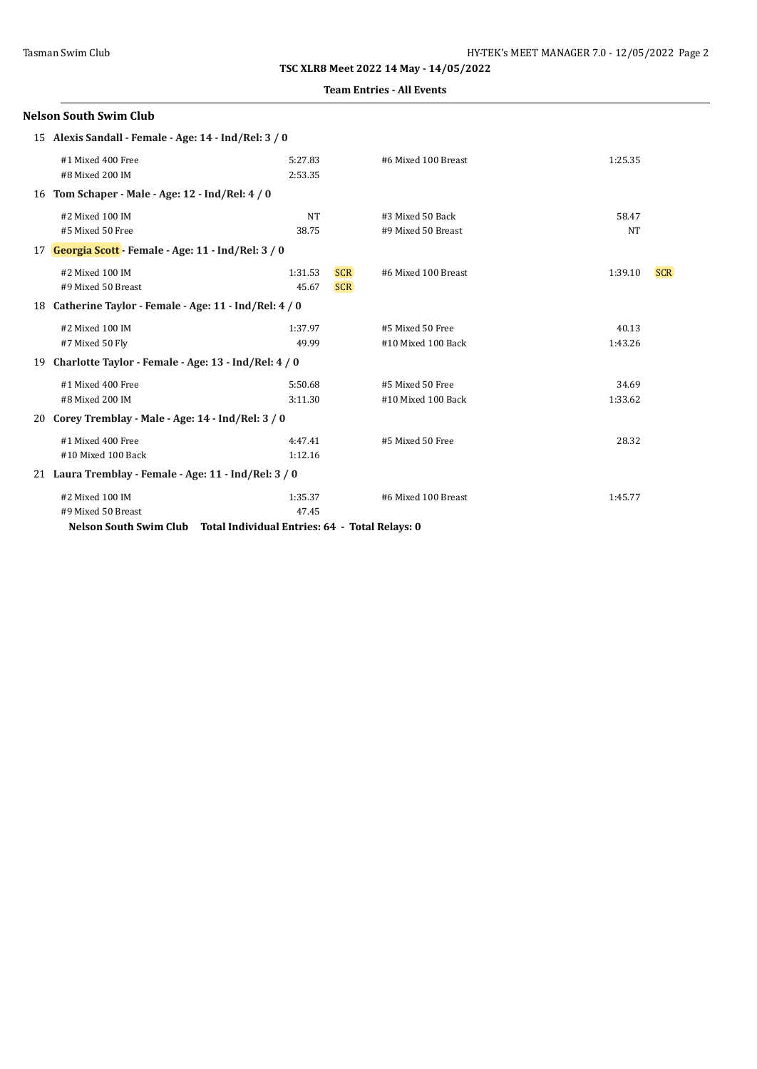#### **Team Entries - All Events**

|                                                             | <b>Nelson South Swim Club</b>                                                                                  |                    |                          |                                        |                    |            |
|-------------------------------------------------------------|----------------------------------------------------------------------------------------------------------------|--------------------|--------------------------|----------------------------------------|--------------------|------------|
|                                                             | 15 Alexis Sandall - Female - Age: 14 - Ind/Rel: 3 / 0                                                          |                    |                          |                                        |                    |            |
|                                                             | #1 Mixed 400 Free<br>#8 Mixed 200 IM                                                                           | 5:27.83<br>2:53.35 |                          | #6 Mixed 100 Breast                    | 1:25.35            |            |
|                                                             | 16 Tom Schaper - Male - Age: 12 - Ind/Rel: 4 / 0                                                               |                    |                          |                                        |                    |            |
|                                                             | #2 Mixed 100 IM<br>#5 Mixed 50 Free                                                                            | <b>NT</b><br>38.75 |                          | #3 Mixed 50 Back<br>#9 Mixed 50 Breast | 58.47<br><b>NT</b> |            |
| 17 <b>Georgia Scott</b> - Female - Age: 11 - Ind/Rel: 3 / 0 |                                                                                                                |                    |                          |                                        |                    |            |
|                                                             | #2 Mixed 100 IM<br>#9 Mixed 50 Breast                                                                          | 1:31.53<br>45.67   | <b>SCR</b><br><b>SCR</b> | #6 Mixed 100 Breast                    | 1:39.10            | <b>SCR</b> |
|                                                             | 18 Catherine Taylor - Female - Age: 11 - Ind/Rel: 4 / 0                                                        |                    |                          |                                        |                    |            |
|                                                             | #2 Mixed 100 IM<br>#7 Mixed 50 Fly                                                                             | 1:37.97<br>49.99   |                          | #5 Mixed 50 Free<br>#10 Mixed 100 Back | 40.13<br>1:43.26   |            |
|                                                             | 19 Charlotte Taylor - Female - Age: 13 - Ind/Rel: 4 / 0                                                        |                    |                          |                                        |                    |            |
|                                                             | #1 Mixed 400 Free<br>#8 Mixed 200 IM<br>20 Corey Tremblay - Male - Age: 14 - Ind/Rel: 3 / 0                    | 5:50.68<br>3:11.30 |                          | #5 Mixed 50 Free<br>#10 Mixed 100 Back | 34.69<br>1:33.62   |            |
|                                                             |                                                                                                                |                    |                          |                                        |                    |            |
|                                                             | #1 Mixed 400 Free<br>#10 Mixed 100 Back                                                                        | 4:47.41<br>1:12.16 |                          | #5 Mixed 50 Free                       | 28.32              |            |
|                                                             | 21 Laura Tremblay - Female - Age: 11 - Ind/Rel: 3 / 0                                                          |                    |                          |                                        |                    |            |
|                                                             | #2 Mixed 100 IM<br>#9 Mixed 50 Breast<br>Nelson South Swim Club Total Individual Entries: 64 - Total Relays: 0 | 1:35.37<br>47.45   |                          | #6 Mixed 100 Breast                    | 1:45.77            |            |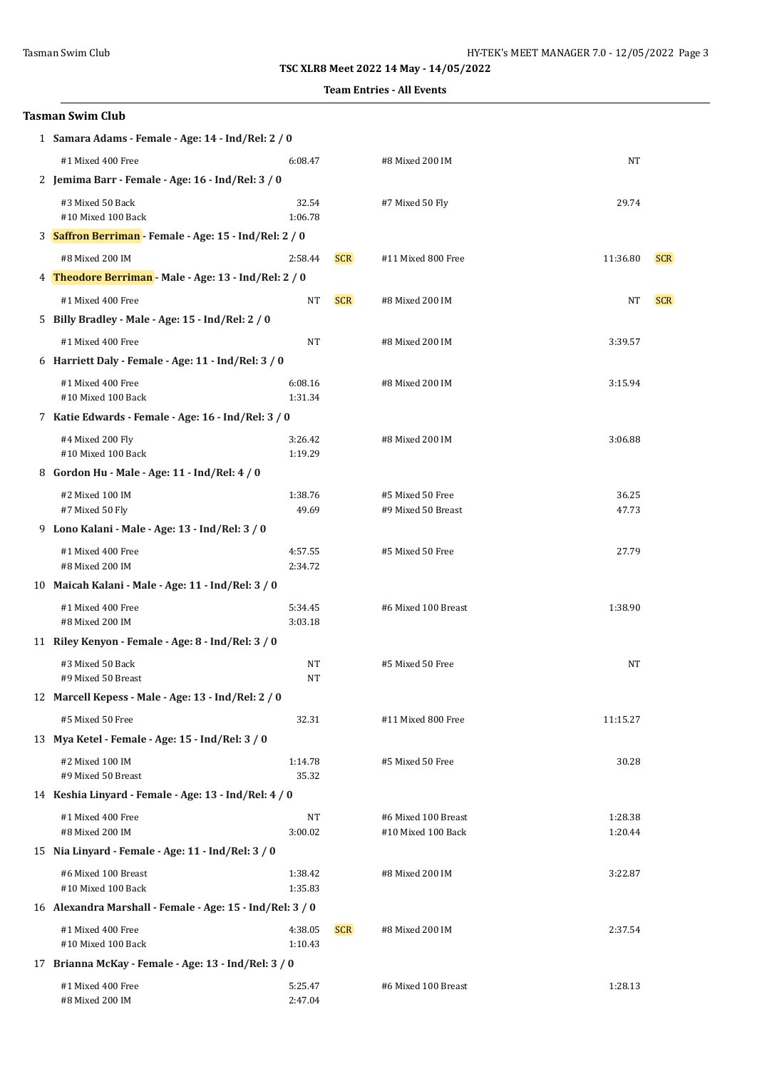#### **Team Entries - All Events**

|   | Tasman Swim Club                                          |                    |            |                                           |                    |            |
|---|-----------------------------------------------------------|--------------------|------------|-------------------------------------------|--------------------|------------|
|   | 1 Samara Adams - Female - Age: 14 - Ind/Rel: 2 / 0        |                    |            |                                           |                    |            |
|   | #1 Mixed 400 Free                                         | 6:08.47            |            | #8 Mixed 200 IM                           | NT                 |            |
|   | 2 Jemima Barr - Female - Age: 16 - Ind/Rel: 3 / 0         |                    |            |                                           |                    |            |
|   | #3 Mixed 50 Back<br>#10 Mixed 100 Back                    | 32.54<br>1:06.78   |            | #7 Mixed 50 Fly                           | 29.74              |            |
|   | 3 Saffron Berriman - Female - Age: 15 - Ind/Rel: 2 / 0    |                    |            |                                           |                    |            |
|   | #8 Mixed 200 IM                                           | 2:58.44            | <b>SCR</b> | #11 Mixed 800 Free                        | 11:36.80           | <b>SCR</b> |
|   | 4 Theodore Berriman - Male - Age: 13 - Ind/Rel: 2 / 0     |                    |            |                                           |                    |            |
|   | #1 Mixed 400 Free                                         | NT                 | <b>SCR</b> | #8 Mixed 200 IM                           | NT                 | <b>SCR</b> |
|   | 5 Billy Bradley - Male - Age: 15 - Ind/Rel: 2 / 0         |                    |            |                                           |                    |            |
|   | #1 Mixed 400 Free                                         | NT                 |            | #8 Mixed 200 IM                           | 3:39.57            |            |
|   | 6 Harriett Daly - Female - Age: 11 - Ind/Rel: 3 / 0       |                    |            |                                           |                    |            |
|   | #1 Mixed 400 Free<br>#10 Mixed 100 Back                   | 6:08.16<br>1:31.34 |            | #8 Mixed 200 IM                           | 3:15.94            |            |
|   | 7 Katie Edwards - Female - Age: 16 - Ind/Rel: 3 / 0       |                    |            |                                           |                    |            |
|   | #4 Mixed 200 Fly<br>#10 Mixed 100 Back                    | 3:26.42<br>1:19.29 |            | #8 Mixed 200 IM                           | 3:06.88            |            |
| 8 | Gordon Hu - Male - Age: 11 - Ind/Rel: 4 / 0               |                    |            |                                           |                    |            |
|   | #2 Mixed 100 IM<br>#7 Mixed 50 Fly                        | 1:38.76<br>49.69   |            | #5 Mixed 50 Free<br>#9 Mixed 50 Breast    | 36.25<br>47.73     |            |
|   | 9 Lono Kalani - Male - Age: 13 - Ind/Rel: 3 / 0           |                    |            |                                           |                    |            |
|   | #1 Mixed 400 Free                                         | 4:57.55            |            | #5 Mixed 50 Free                          | 27.79              |            |
|   | #8 Mixed 200 IM                                           | 2:34.72            |            |                                           |                    |            |
|   | 10 Maicah Kalani - Male - Age: 11 - Ind/Rel: 3 / 0        |                    |            |                                           |                    |            |
|   | #1 Mixed 400 Free<br>#8 Mixed 200 IM                      | 5:34.45<br>3:03.18 |            | #6 Mixed 100 Breast                       | 1:38.90            |            |
|   | 11 Riley Kenyon - Female - Age: 8 - Ind/Rel: 3 / 0        |                    |            |                                           |                    |            |
|   | #3 Mixed 50 Back<br>#9 Mixed 50 Breast                    | NT<br><b>NT</b>    |            | #5 Mixed 50 Free                          | NT                 |            |
|   | 12 Marcell Kepess - Male - Age: 13 - Ind/Rel: 2 / 0       |                    |            |                                           |                    |            |
|   | #5 Mixed 50 Free                                          | 32.31              |            | #11 Mixed 800 Free                        | 11:15.27           |            |
|   | 13 Mya Ketel - Female - Age: 15 - Ind/Rel: 3 / 0          |                    |            |                                           |                    |            |
|   | #2 Mixed 100 IM<br>#9 Mixed 50 Breast                     | 1:14.78<br>35.32   |            | #5 Mixed 50 Free                          | 30.28              |            |
|   | 14 Keshia Linyard - Female - Age: 13 - Ind/Rel: 4 / 0     |                    |            |                                           |                    |            |
|   | #1 Mixed 400 Free<br>#8 Mixed 200 IM                      | NT<br>3:00.02      |            | #6 Mixed 100 Breast<br>#10 Mixed 100 Back | 1:28.38<br>1:20.44 |            |
|   | 15 Nia Linyard - Female - Age: 11 - Ind/Rel: 3 / 0        |                    |            |                                           |                    |            |
|   | #6 Mixed 100 Breast<br>#10 Mixed 100 Back                 | 1:38.42<br>1:35.83 |            | #8 Mixed 200 IM                           | 3:22.87            |            |
|   | 16 Alexandra Marshall - Female - Age: 15 - Ind/Rel: 3 / 0 |                    |            |                                           |                    |            |
|   | #1 Mixed 400 Free<br>#10 Mixed 100 Back                   | 4:38.05<br>1:10.43 | <b>SCR</b> | #8 Mixed 200 IM                           | 2:37.54            |            |
|   | 17 Brianna McKay - Female - Age: 13 - Ind/Rel: 3 / 0      |                    |            |                                           |                    |            |
|   | #1 Mixed 400 Free<br>#8 Mixed 200 IM                      | 5:25.47<br>2:47.04 |            | #6 Mixed 100 Breast                       | 1:28.13            |            |